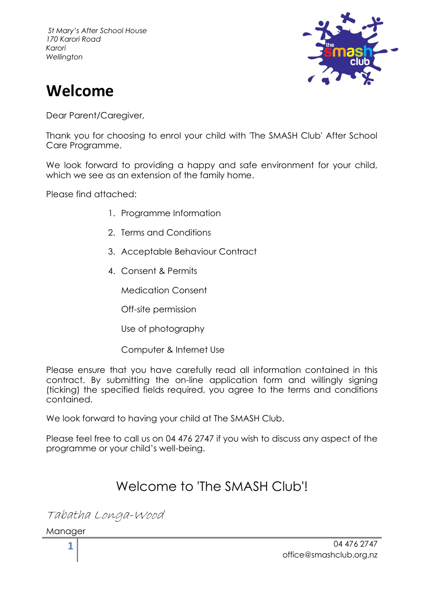

# **Welcome**

Dear Parent/Careaiver,

Thank you for choosing to enrol your child with 'The SMASH Club' After School Care Programme.

We look forward to providing a happy and safe environment for your child, which we see as an extension of the family home.

Please find attached:

- 1. Programme Information
- 2. Terms and Conditions
- 3. Acceptable Behaviour Contract
- 4. Consent & Permits

Medication Consent

Off-site permission

Use of photography

Computer & Internet Use

Please ensure that you have carefully read all information contained in this contract. By submitting the on-line application form and willingly signing (ticking) the specified fields required, you agree to the terms and conditions contained.

We look forward to having your child at The SMASH Club.

Please feel free to call us on 04 476 2747 if you wish to discuss any aspect of the programme or your child's well-being.

## Welcome to 'The SMASH Club'!

Tabatha Longa-Wood

Manager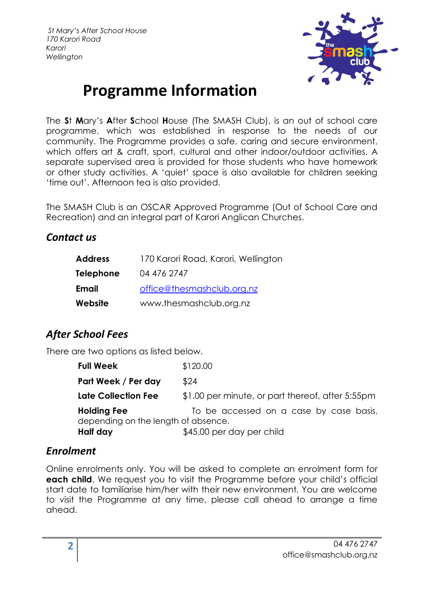

# **Programme Information**

The **S**t **M**ary's **A**fter **S**chool **H**ouse (The SMASH Club), is an out of school care programme, which was established in response to the needs of our community. The Programme provides a safe, caring and secure environment, which offers art & craft, sport, cultural and other indoor/outdoor activities. A separate supervised area is provided for those students who have homework or other study activities. A 'quiet' space is also available for children seeking 'time out'. Afternoon tea is also provided.

The SMASH Club is an OSCAR Approved Programme (Out of School Care and Recreation) and an integral part of Karori Anglican Churches.

### *Contact us*

| <b>Address</b> | 170 Karori Road, Karori, Wellington |
|----------------|-------------------------------------|
| Telephone      | 04 476 2747                         |
| Email          | office@thesmashclub.org.nz          |
| Website        | www.thesmashclub.org.nz             |

## *After School Fees*

There are two options as listed below.

| Full Week                                          | \$120.00                                         |
|----------------------------------------------------|--------------------------------------------------|
| Part Week / Per day                                | \$24                                             |
| Late Collection Fee                                | \$1.00 per minute, or part thereof, after 5:55pm |
| Holding Fee<br>depending on the length of absence. | To be accessed on a case by case basis,          |
| Half day                                           | \$45.00 per day per child                        |

### *Enrolment*

Online enrolments only. You will be asked to complete an enrolment form for **each child**. We request you to visit the Programme before your child's official start date to familiarise him/her with their new environment. You are welcome to visit the Programme at any time, please call ahead to arrange a time ahead.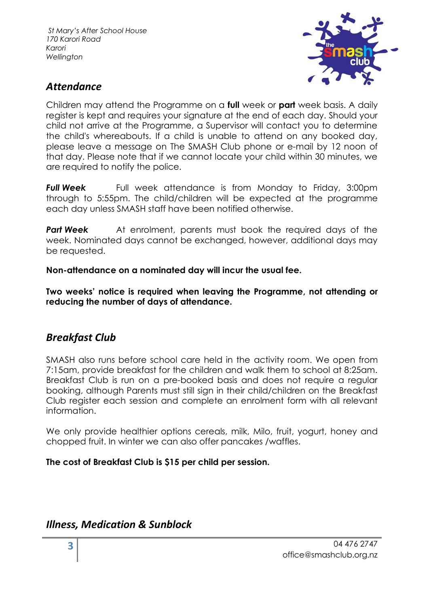

## *Attendance*

Children may attend the Programme on a **full** week or **part** week basis. A daily register is kept and requires your signature at the end of each day. Should your child not arrive at the Programme, a Supervisor will contact you to determine the child's whereabouts. If a child is unable to attend on any booked day, please leave a message on The SMASH Club phone or e-mail by 12 noon of that day. Please note that if we cannot locate your child within 30 minutes, we are required to notify the police.

**Full Week** Full week attendance is from Monday to Friday, 3:00pm through to 5:55pm. The child/children will be expected at the programme each day unless SMASH staff have been notified otherwise.

**Part Week** At enrolment, parents must book the required days of the week. Nominated days cannot be exchanged, however, additional days may be requested.

**Non-attendance on a nominated day will incur the usual fee.**

**Two weeks' notice is required when leaving the Programme, not attending or reducing the number of days of attendance.**

## *Breakfast Club*

SMASH also runs before school care held in the activity room. We open from 7:15am, provide breakfast for the children and walk them to school at 8:25am. Breakfast Club is run on a pre-booked basis and does not require a regular booking, although Parents must still sign in their child/children on the Breakfast Club register each session and complete an enrolment form with all relevant information.

We only provide healthier options cereals, milk, Milo, fruit, yogurt, honey and chopped fruit. In winter we can also offer pancakes /waffles.

### **The cost of Breakfast Club is \$15 per child per session.**

### *Illness, Medication & Sunblock*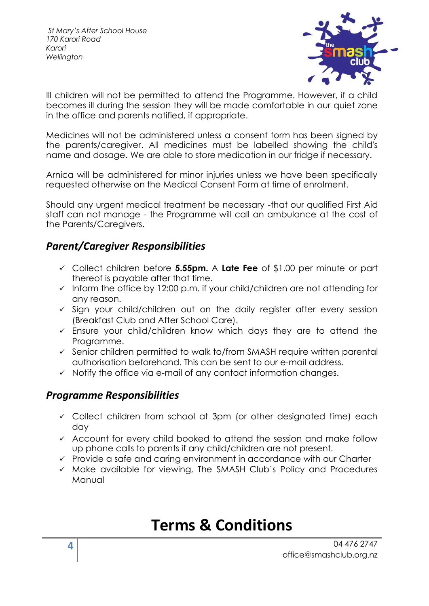

Ill children will not be permitted to attend the Programme. However, if a child becomes ill during the session they will be made comfortable in our quiet zone in the office and parents notified, if appropriate.

Medicines will not be administered unless a consent form has been signed by the parents/caregiver. All medicines must be labelled showing the child's name and dosage. We are able to store medication in our fridge if necessary.

Arnica will be administered for minor injuries unless we have been specifically requested otherwise on the Medical Consent Form at time of enrolment.

Should any urgent medical treatment be necessary -that our qualified First Aid staff can not manage - the Programme will call an ambulance at the cost of the Parents/Caregivers.

### *Parent/Caregiver Responsibilities*

- ✓ Collect children before **5.55pm.** A **Late Fee** of \$1.00 per minute or part thereof is payable after that time.
- $\checkmark$  Inform the office by 12:00 p.m. if your child/children are not attending for any reason.
- $\checkmark$  Sign your child/children out on the daily register after every session (Breakfast Club and After School Care).
- $\checkmark$  Ensure your child/children know which days they are to attend the Programme.
- ✓ Senior children permitted to walk to/from SMASH require written parental authorisation beforehand. This can be sent to our e-mail address.
- $\checkmark$  Notify the office via e-mail of any contact information changes.

### *Programme Responsibilities*

- ✓ Collect children from school at 3pm (or other designated time) each day
- ✓ Account for every child booked to attend the session and make follow up phone calls to parents if any child/children are not present.
- ✓ Provide a safe and caring environment in accordance with our Charter
- ✓ Make available for viewing, The SMASH Club's Policy and Procedures Manual

## **Terms & Conditions**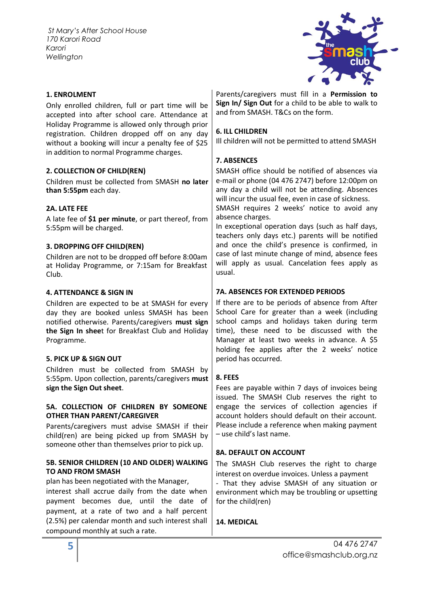

#### **1. ENROLMENT**

Only enrolled children, full or part time will be accepted into after school care. Attendance at Holiday Programme is allowed only through prior registration. Children dropped off on any day without a booking will incur a penalty fee of \$25 in addition to normal Programme charges.

#### **2. COLLECTION OF CHILD(REN)**

Children must be collected from SMASH **no later than 5:55pm** each day.

#### **2A. LATE FEE**

A late fee of **\$1 per minute**, or part thereof, from 5:55pm will be charged.

#### **3. DROPPING OFF CHILD(REN)**

Children are not to be dropped off before 8:00am at Holiday Programme, or 7:15am for Breakfast Club.

#### **4. ATTENDANCE & SIGN IN**

Children are expected to be at SMASH for every day they are booked unless SMASH has been notified otherwise. Parents/caregivers **must sign the Sign In shee**t for Breakfast Club and Holiday Programme.

#### **5. PICK UP & SIGN OUT**

Children must be collected from SMASH by 5:55pm. Upon collection, parents/caregivers **must sign the Sign Out sheet**.

#### **5A. COLLECTION OF CHILDREN BY SOMEONE OTHER THAN PARENT/CAREGIVER**

Parents/caregivers must advise SMASH if their child(ren) are being picked up from SMASH by someone other than themselves prior to pick up.

#### **5B. SENIOR CHILDREN (10 AND OLDER) WALKING TO AND FROM SMASH**

plan has been negotiated with the Manager,

interest shall accrue daily from the date when payment becomes due, until the date of payment, at a rate of two and a half percent (2.5%) per calendar month and such interest shall compound monthly at such a rate.

Parents/caregivers must fill in a **Permission to Sign In/ Sign Out** for a child to be able to walk to and from SMASH. T&Cs on the form.

#### **6. ILL CHILDREN**

Ill children will not be permitted to attend SMASH

#### **7. ABSENCES**

SMASH office should be notified of absences via e-mail or phone (04 476 2747) before 12:00pm on any day a child will not be attending. Absences will incur the usual fee, even in case of sickness.

SMASH requires 2 weeks' notice to avoid any absence charges.

In exceptional operation days (such as half days, teachers only days etc.) parents will be notified and once the child's presence is confirmed, in case of last minute change of mind, absence fees will apply as usual. Cancelation fees apply as usual.

#### **7A. ABSENCES FOR EXTENDED PERIODS**

If there are to be periods of absence from After School Care for greater than a week (including school camps and holidays taken during term time), these need to be discussed with the Manager at least two weeks in advance. A \$5 holding fee applies after the 2 weeks' notice period has occurred.

#### **8. FEES**

Fees are payable within 7 days of invoices being issued. The SMASH Club reserves the right to engage the services of collection agencies if account holders should default on their account. Please include a reference when making payment – use child's last name.

#### **8A. DEFAULT ON ACCOUNT**

The SMASH Club reserves the right to charge interest on overdue invoices. Unless a payment

- That they advise SMASH of any situation or environment which may be troubling or upsetting for the child(ren)

#### **14. MEDICAL**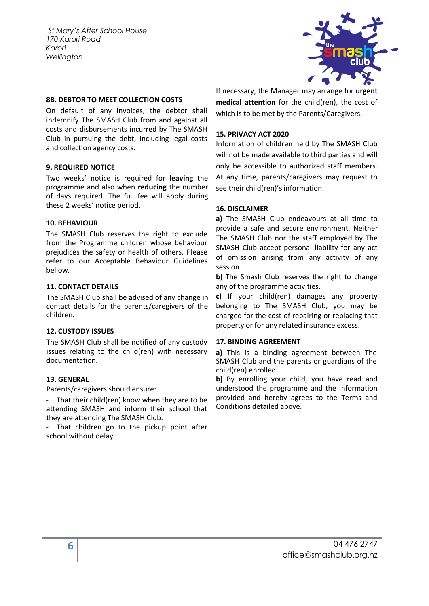

#### **8B. DEBTOR TO MEET COLLECTION COSTS**

On default of any invoices, the debtor shall indemnify The SMASH Club from and against all costs and disbursements incurred by The SMASH Club in pursuing the debt, including legal costs and collection agency costs.

#### **9. REQUIRED NOTICE**

Two weeks' notice is required for **leaving** the programme and also when **reducing** the number of days required. The full fee will apply during these 2 weeks' notice period.

#### **10. BEHAVIOUR**

The SMASH Club reserves the right to exclude from the Programme children whose behaviour prejudices the safety or health of others. Please refer to our Acceptable Behaviour Guidelines bellow.

#### **11. CONTACT DETAILS**

The SMASH Club shall be advised of any change in contact details for the parents/caregivers of the children.

#### **12. CUSTODY ISSUES**

The SMASH Club shall be notified of any custody issues relating to the child(ren) with necessary documentation.

#### **13. GENERAL**

Parents/caregivers should ensure:

- That their child(ren) know when they are to be attending SMASH and inform their school that they are attending The SMASH Club.

That children go to the pickup point after school without delay

If necessary, the Manager may arrange for **urgent medical attention** for the child(ren), the cost of which is to be met by the Parents/Caregivers.

#### **15. PRIVACY ACT 2020**

Information of children held by The SMASH Club will not be made available to third parties and will only be accessible to authorized staff members. At any time, parents/caregivers may request to see their child(ren)'s information.

#### **16. DISCLAIMER**

**a)** The SMASH Club endeavours at all time to provide a safe and secure environment. Neither The SMASH Club nor the staff employed by The SMASH Club accept personal liability for any act of omission arising from any activity of any session

**b)** The Smash Club reserves the right to change any of the programme activities.

**c)** If your child(ren) damages any property belonging to The SMASH Club, you may be charged for the cost of repairing or replacing that property or for any related insurance excess.

#### **17. BINDING AGREEMENT**

**a)** This is a binding agreement between The SMASH Club and the parents or guardians of the child(ren) enrolled.

**b)** By enrolling your child, you have read and understood the programme and the information provided and hereby agrees to the Terms and Conditions detailed above.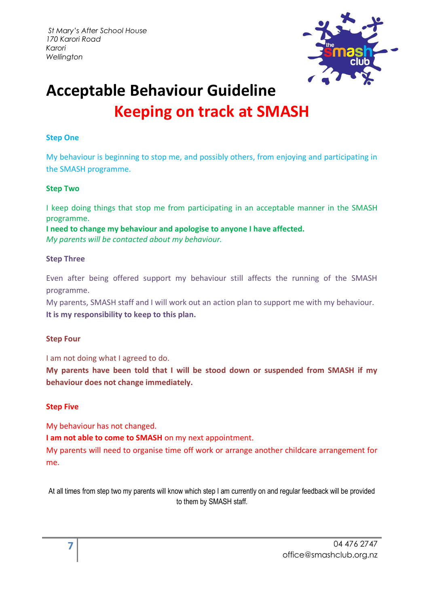

# **Acceptable Behaviour Guideline Keeping on track at SMASH**

### **Step One**

My behaviour is beginning to stop me, and possibly others, from enjoying and participating in the SMASH programme.

#### **Step Two**

I keep doing things that stop me from participating in an acceptable manner in the SMASH programme.

**I need to change my behaviour and apologise to anyone I have affected.**  *My parents will be contacted about my behaviour.*

#### **Step Three**

Even after being offered support my behaviour still affects the running of the SMASH programme.

My parents, SMASH staff and I will work out an action plan to support me with my behaviour. **It is my responsibility to keep to this plan.**

### **Step Four**

I am not doing what I agreed to do.

**My parents have been told that I will be stood down or suspended from SMASH if my behaviour does not change immediately.**

### **Step Five**

My behaviour has not changed.

**I am not able to come to SMASH** on my next appointment.

My parents will need to organise time off work or arrange another childcare arrangement for me.

At all times from step two my parents will know which step I am currently on and regular feedback will be provided to them by SMASH staff.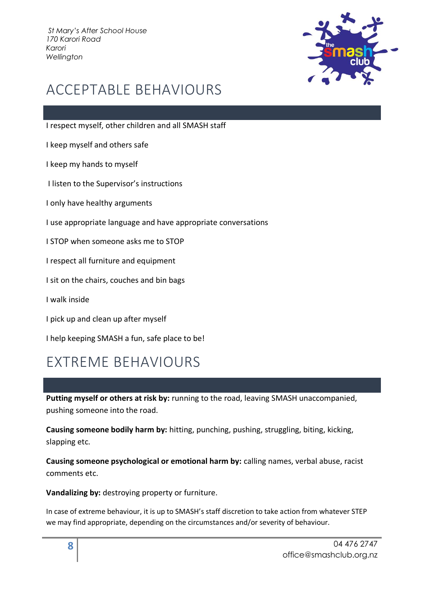

## ACCEPTABLE BEHAVIOURS

I respect myself, other children and all SMASH staff

I keep myself and others safe

I keep my hands to myself

I listen to the Supervisor's instructions

I only have healthy arguments

I use appropriate language and have appropriate conversations

I STOP when someone asks me to STOP

I respect all furniture and equipment

I sit on the chairs, couches and bin bags

I walk inside

I pick up and clean up after myself

I help keeping SMASH a fun, safe place to be!

## EXTREME BEHAVIOURS

**Putting myself or others at risk by:** running to the road, leaving SMASH unaccompanied, pushing someone into the road.

**Causing someone bodily harm by:** hitting, punching, pushing, struggling, biting, kicking, slapping etc.

**Causing someone psychological or emotional harm by:** calling names, verbal abuse, racist comments etc.

**Vandalizing by:** destroying property or furniture.

In case of extreme behaviour, it is up to SMASH's staff discretion to take action from whatever STEP we may find appropriate, depending on the circumstances and/or severity of behaviour.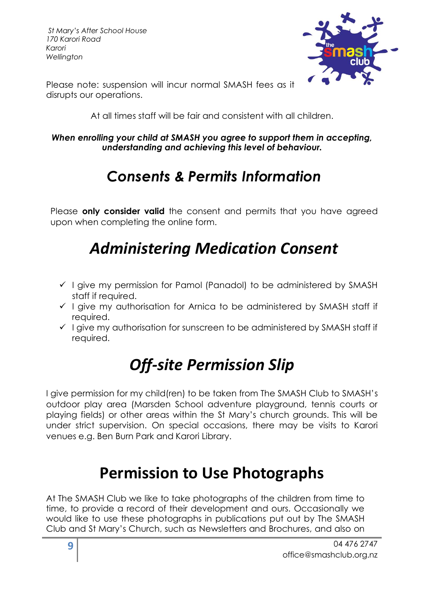

Please note: suspension will incur normal SMASH fees as it disrupts our operations.

At all times staff will be fair and consistent with all children.

### *When enrolling your child at SMASH you agree to support them in accepting, understanding and achieving this level of behaviour.*

# *Consents & Permits Information*

Please **only consider valid** the consent and permits that you have agreed upon when completing the online form.

# *Administering Medication Consent*

- ✓ I give my permission for Pamol (Panadol) to be administered by SMASH staff if required.
- ✓ I give my authorisation for Arnica to be administered by SMASH staff if required.
- ✓ I give my authorisation for sunscreen to be administered by SMASH staff if required.

# *Off-site Permission Slip*

I give permission for my child(ren) to be taken from The SMASH Club to SMASH's outdoor play area (Marsden School adventure playground, tennis courts or playing fields) or other areas within the St Mary's church grounds. This will be under strict supervision. On special occasions, there may be visits to Karori venues e.g. Ben Burn Park and Karori Library.

# **Permission to Use Photographs**

At The SMASH Club we like to take photographs of the children from time to time, to provide a record of their development and ours. Occasionally we would like to use these photographs in publications put out by The SMASH Club and St Mary's Church, such as Newsletters and Brochures, and also on